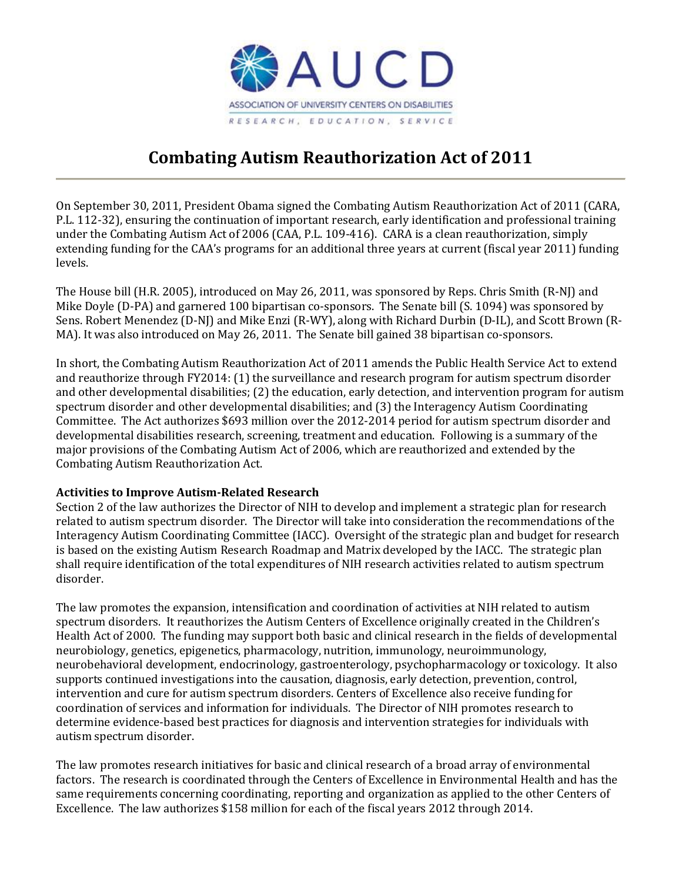

# **Combating Autism Reauthorization Act of 2011**

On September 30, 2011, President Obama signed the Combating Autism Reauthorization Act of 2011 (CARA, P.L. 112-32), ensuring the continuation of important research, early identification and professional training under the Combating Autism Act of 2006 (CAA, P.L. 109-416). CARA is a clean reauthorization, simply extending funding for the CAA's programs for an additional three years at current (fiscal year 2011) funding levels.

The House bill (H.R. 2005), introduced on May 26, 2011, was sponsored by Reps. Chris Smith (R-NJ) and Mike Doyle (D-PA) and garnered 100 bipartisan co-sponsors. The Senate bill (S. 1094) was sponsored by Sens. Robert Menendez (D-NJ) and Mike Enzi (R-WY), along with Richard Durbin (D-IL), and Scott Brown (R-MA). It was also introduced on May 26, 2011. The Senate bill gained 38 bipartisan co-sponsors.

In short, the Combating Autism Reauthorization Act of 2011 amends the Public Health Service Act to extend and reauthorize through FY2014: (1) the surveillance and research program for autism spectrum disorder and other developmental disabilities; (2) the education, early detection, and intervention program for autism spectrum disorder and other developmental disabilities; and (3) the Interagency Autism Coordinating Committee. The Act authorizes \$693 million over the 2012-2014 period for autism spectrum disorder and developmental disabilities research, screening, treatment and education. Following is a summary of the major provisions of the Combating Autism Act of 2006, which are reauthorized and extended by the Combating Autism Reauthorization Act.

## **Activities to Improve Autism-Related Research**

Section 2 of the law authorizes the Director of NIH to develop and implement a strategic plan for research related to autism spectrum disorder. The Director will take into consideration the recommendations of the Interagency Autism Coordinating Committee (IACC). Oversight of the strategic plan and budget for research is based on the existing Autism Research Roadmap and Matrix developed by the IACC. The strategic plan shall require identification of the total expenditures of NIH research activities related to autism spectrum disorder.

The law promotes the expansion, intensification and coordination of activities at NIH related to autism spectrum disorders. It reauthorizes the Autism Centers of Excellence originally created in the Children's Health Act of 2000. The funding may support both basic and clinical research in the fields of developmental neurobiology, genetics, epigenetics, pharmacology, nutrition, immunology, neuroimmunology, neurobehavioral development, endocrinology, gastroenterology, psychopharmacology or toxicology. It also supports continued investigations into the causation, diagnosis, early detection, prevention, control, intervention and cure for autism spectrum disorders. Centers of Excellence also receive funding for coordination of services and information for individuals. The Director of NIH promotes research to determine evidence-based best practices for diagnosis and intervention strategies for individuals with autism spectrum disorder.

The law promotes research initiatives for basic and clinical research of a broad array of environmental factors. The research is coordinated through the Centers of Excellence in Environmental Health and has the same requirements concerning coordinating, reporting and organization as applied to the other Centers of Excellence. The law authorizes \$158 million for each of the fiscal years 2012 through 2014.